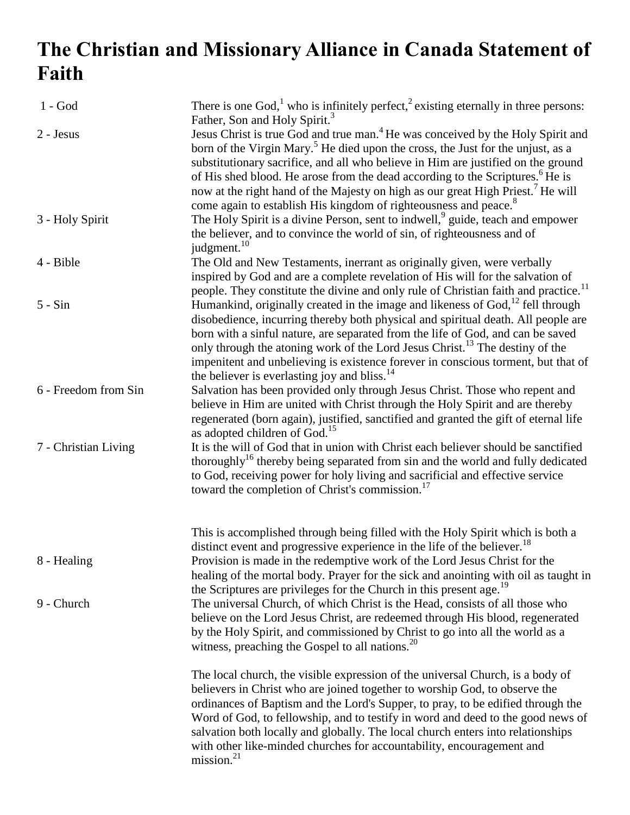## **The Christian and Missionary Alliance in Canada Statement of Faith**

| $1 - God$            | There is one God, <sup>1</sup> who is infinitely perfect, <sup>2</sup> existing eternally in three persons:                                                                                                                                                                                                                                                                                                                                                                                                                                                                                              |
|----------------------|----------------------------------------------------------------------------------------------------------------------------------------------------------------------------------------------------------------------------------------------------------------------------------------------------------------------------------------------------------------------------------------------------------------------------------------------------------------------------------------------------------------------------------------------------------------------------------------------------------|
| 2 - Jesus            | Father, Son and Holy Spirit. <sup>3</sup><br>Jesus Christ is true God and true man. <sup>4</sup> He was conceived by the Holy Spirit and<br>born of the Virgin Mary. <sup>5</sup> He died upon the cross, the Just for the unjust, as a<br>substitutionary sacrifice, and all who believe in Him are justified on the ground<br>of His shed blood. He arose from the dead according to the Scriptures. <sup>6</sup> He is<br>now at the right hand of the Majesty on high as our great High Priest. <sup>7</sup> He will<br>come again to establish His kingdom of righteousness and peace. <sup>8</sup> |
| 3 - Holy Spirit      | The Holy Spirit is a divine Person, sent to indwell, <sup>9</sup> guide, teach and empower<br>the believer, and to convince the world of sin, of righteousness and of<br>judgment. <sup>10</sup>                                                                                                                                                                                                                                                                                                                                                                                                         |
| 4 - Bible            | The Old and New Testaments, inerrant as originally given, were verbally<br>inspired by God and are a complete revelation of His will for the salvation of<br>people. They constitute the divine and only rule of Christian faith and practice. <sup>11</sup>                                                                                                                                                                                                                                                                                                                                             |
| $5 - Sin$            | Humankind, originally created in the image and likeness of God, <sup>12</sup> fell through<br>disobedience, incurring thereby both physical and spiritual death. All people are<br>born with a sinful nature, are separated from the life of God, and can be saved<br>only through the atoning work of the Lord Jesus Christ. <sup>13</sup> The destiny of the<br>impenitent and unbelieving is existence forever in conscious torment, but that of<br>the believer is everlasting joy and bliss. <sup>14</sup>                                                                                          |
| 6 - Freedom from Sin | Salvation has been provided only through Jesus Christ. Those who repent and<br>believe in Him are united with Christ through the Holy Spirit and are thereby<br>regenerated (born again), justified, sanctified and granted the gift of eternal life<br>as adopted children of God. <sup>15</sup>                                                                                                                                                                                                                                                                                                        |
| 7 - Christian Living | It is the will of God that in union with Christ each believer should be sanctified<br>thoroughly <sup>16</sup> thereby being separated from sin and the world and fully dedicated<br>to God, receiving power for holy living and sacrificial and effective service<br>toward the completion of Christ's commission. <sup>17</sup>                                                                                                                                                                                                                                                                        |
| 8 - Healing          | This is accomplished through being filled with the Holy Spirit which is both a<br>distinct event and progressive experience in the life of the believer. <sup>18</sup><br>Provision is made in the redemptive work of the Lord Jesus Christ for the<br>healing of the mortal body. Prayer for the sick and anointing with oil as taught in                                                                                                                                                                                                                                                               |
| 9 - Church           | the Scriptures are privileges for the Church in this present age. <sup>19</sup><br>The universal Church, of which Christ is the Head, consists of all those who<br>believe on the Lord Jesus Christ, are redeemed through His blood, regenerated<br>by the Holy Spirit, and commissioned by Christ to go into all the world as a<br>witness, preaching the Gospel to all nations. <sup>20</sup>                                                                                                                                                                                                          |
|                      | The local church, the visible expression of the universal Church, is a body of<br>believers in Christ who are joined together to worship God, to observe the<br>ordinances of Baptism and the Lord's Supper, to pray, to be edified through the<br>Word of God, to fellowship, and to testify in word and deed to the good news of<br>salvation both locally and globally. The local church enters into relationships<br>with other like-minded churches for accountability, encouragement and<br>mission. <sup>21</sup>                                                                                 |